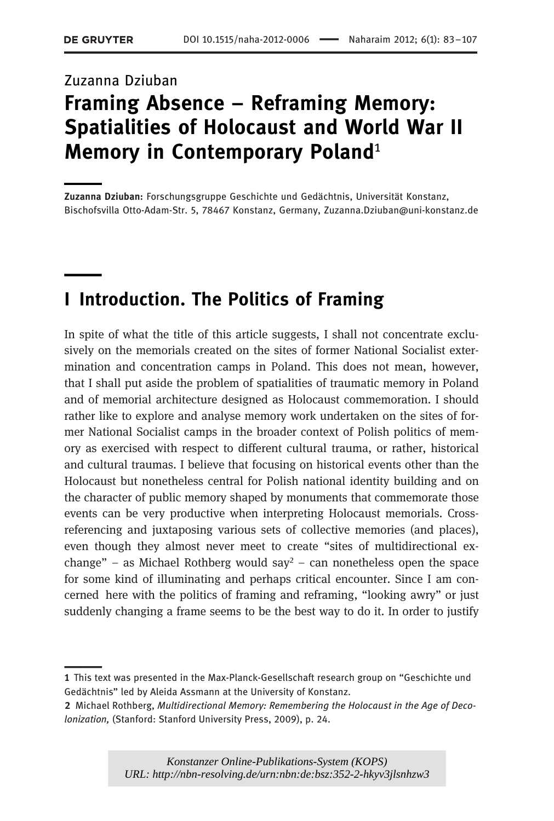# Zuzanna Dziuban Framing Absence – Reframing Memory: Spatialities of Holocaust and World War II Memory in Contemporary Poland<sup>1</sup>

Zuzanna Dziuban: Forschungsgruppe Geschichte und Gedächtnis, Universität Konstanz, Bischofsvilla Otto-Adam-Str. 5, 78467 Konstanz, Germany, Zuzanna.Dziuban@uni-konstanz.de

# I Introduction. The Politics of Framing

In spite of what the title of this article suggests, I shall not concentrate exclusively on the memorials created on the sites of former National Socialist extermination and concentration camps in Poland. This does not mean, however, that I shall put aside the problem of spatialities of traumatic memory in Poland and of memorial architecture designed as Holocaust commemoration. I should rather like to explore and analyse memory work undertaken on the sites of former National Socialist camps in the broader context of Polish politics of memory as exercised with respect to different cultural trauma, or rather, historical and cultural traumas. I believe that focusing on historical events other than the Holocaust but nonetheless central for Polish national identity building and on the character of public memory shaped by monuments that commemorate those events can be very productive when interpreting Holocaust memorials. Crossreferencing and juxtaposing various sets of collective memories (and places), even though they almost never meet to create "sites of multidirectional exchange" – as Michael Rothberg would say<sup>2</sup> – can nonetheless open the space for some kind of illuminating and perhaps critical encounter. Since I am concerned here with the politics of framing and reframing, "looking awry" or just suddenly changing a frame seems to be the best way to do it. In order to justify

<sup>1</sup> This text was presented in the Max-Planck-Gesellschaft research group on "Geschichte und Gedächtnis" led by Aleida Assmann at the University of Konstanz.

<sup>2</sup> Michael Rothberg, Multidirectional Memory: Remembering the Holocaust in the Age of Decolonization, (Stanford: Stanford University Press, 2009), p. 24.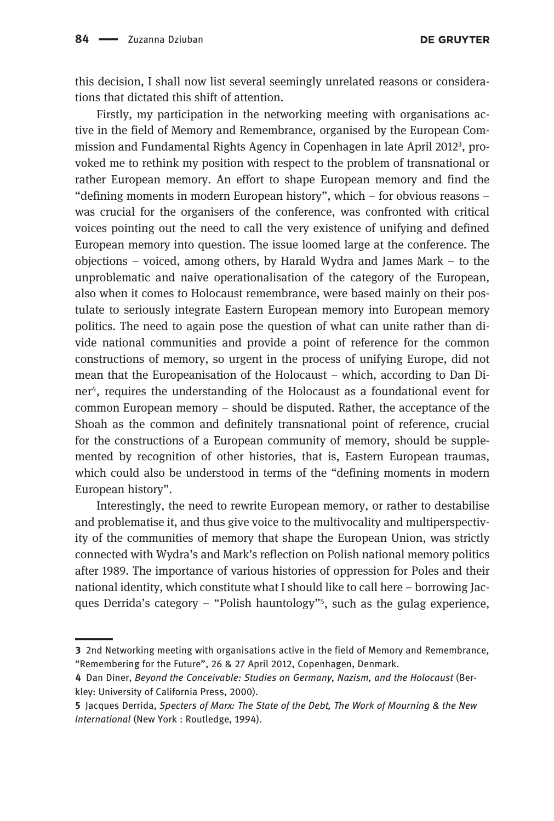this decision, I shall now list several seemingly unrelated reasons or considerations that dictated this shift of attention.

Firstly, my participation in the networking meeting with organisations active in the field of Memory and Remembrance, organised by the European Commission and Fundamental Rights Agency in Copenhagen in late April 2012<sup>3</sup>, provoked me to rethink my position with respect to the problem of transnational or rather European memory. An effort to shape European memory and find the "defining moments in modern European history", which – for obvious reasons – was crucial for the organisers of the conference, was confronted with critical voices pointing out the need to call the very existence of unifying and defined European memory into question. The issue loomed large at the conference. The objections – voiced, among others, by Harald Wydra and James Mark – to the unproblematic and naive operationalisation of the category of the European, also when it comes to Holocaust remembrance, were based mainly on their postulate to seriously integrate Eastern European memory into European memory politics. The need to again pose the question of what can unite rather than divide national communities and provide a point of reference for the common constructions of memory, so urgent in the process of unifying Europe, did not mean that the Europeanisation of the Holocaust – which, according to Dan Diner4, requires the understanding of the Holocaust as a foundational event for common European memory – should be disputed. Rather, the acceptance of the Shoah as the common and definitely transnational point of reference, crucial for the constructions of a European community of memory, should be supplemented by recognition of other histories, that is, Eastern European traumas, which could also be understood in terms of the "defining moments in modern European history".

Interestingly, the need to rewrite European memory, or rather to destabilise and problematise it, and thus give voice to the multivocality and multiperspectivity of the communities of memory that shape the European Union, was strictly connected with Wydra's and Mark's reflection on Polish national memory politics after 1989. The importance of various histories of oppression for Poles and their national identity, which constitute what I should like to call here – borrowing Jacques Derrida's category – "Polish hauntology"<sup>5</sup> , such as the gulag experience,

<sup>3</sup> 2nd Networking meeting with organisations active in the field of Memory and Remembrance, "Remembering for the Future", 26 & 27 April 2012, Copenhagen, Denmark.

<sup>4</sup> Dan Diner, Beyond the Conceivable: Studies on Germany, Nazism, and the Holocaust (Berkley: University of California Press, 2000).

<sup>5</sup> Jacques Derrida, Specters of Marx: The State of the Debt, The Work of Mourning & the New International (New York : Routledge, 1994).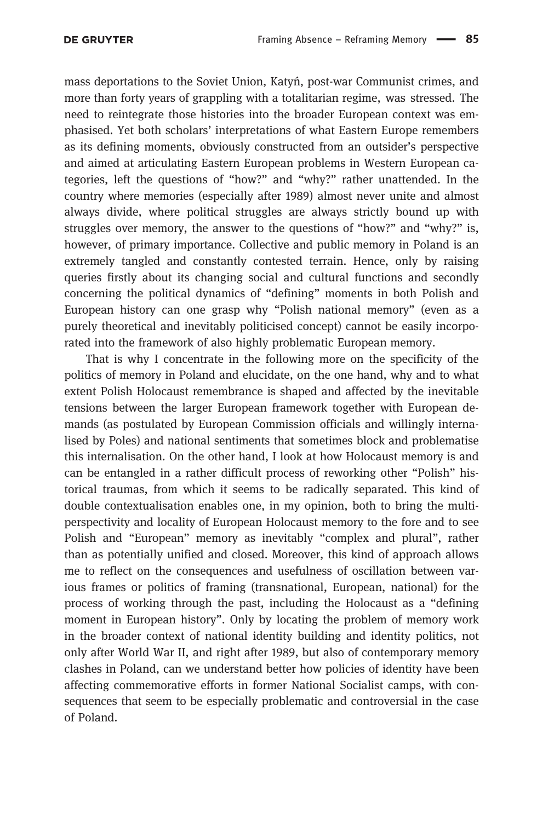mass deportations to the Soviet Union, Katyń, post-war Communist crimes, and more than forty years of grappling with a totalitarian regime, was stressed. The need to reintegrate those histories into the broader European context was emphasised. Yet both scholars' interpretations of what Eastern Europe remembers as its defining moments, obviously constructed from an outsider's perspective and aimed at articulating Eastern European problems in Western European categories, left the questions of "how?" and "why?" rather unattended. In the country where memories (especially after 1989) almost never unite and almost always divide, where political struggles are always strictly bound up with struggles over memory, the answer to the questions of "how?" and "why?" is, however, of primary importance. Collective and public memory in Poland is an extremely tangled and constantly contested terrain. Hence, only by raising queries firstly about its changing social and cultural functions and secondly concerning the political dynamics of "defining" moments in both Polish and European history can one grasp why "Polish national memory" (even as a purely theoretical and inevitably politicised concept) cannot be easily incorporated into the framework of also highly problematic European memory.

That is why I concentrate in the following more on the specificity of the politics of memory in Poland and elucidate, on the one hand, why and to what extent Polish Holocaust remembrance is shaped and affected by the inevitable tensions between the larger European framework together with European demands (as postulated by European Commission officials and willingly internalised by Poles) and national sentiments that sometimes block and problematise this internalisation. On the other hand, I look at how Holocaust memory is and can be entangled in a rather difficult process of reworking other "Polish" historical traumas, from which it seems to be radically separated. This kind of double contextualisation enables one, in my opinion, both to bring the multiperspectivity and locality of European Holocaust memory to the fore and to see Polish and "European" memory as inevitably "complex and plural", rather than as potentially unified and closed. Moreover, this kind of approach allows me to reflect on the consequences and usefulness of oscillation between various frames or politics of framing (transnational, European, national) for the process of working through the past, including the Holocaust as a "defining moment in European history". Only by locating the problem of memory work in the broader context of national identity building and identity politics, not only after World War II, and right after 1989, but also of contemporary memory clashes in Poland, can we understand better how policies of identity have been affecting commemorative efforts in former National Socialist camps, with consequences that seem to be especially problematic and controversial in the case of Poland.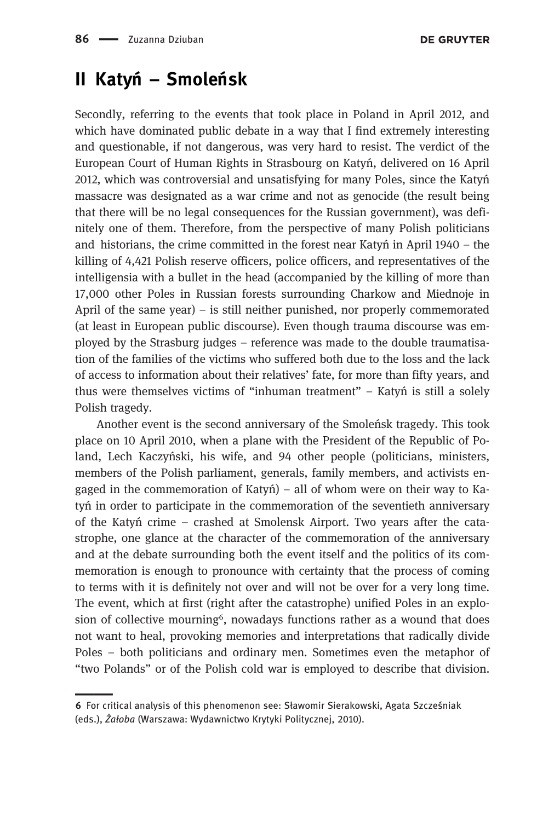### II Katyń – Smoleńsk

Secondly, referring to the events that took place in Poland in April 2012, and which have dominated public debate in a way that I find extremely interesting and questionable, if not dangerous, was very hard to resist. The verdict of the European Court of Human Rights in Strasbourg on Katyń, delivered on 16 April 2012, which was controversial and unsatisfying for many Poles, since the Katyń massacre was designated as a war crime and not as genocide (the result being that there will be no legal consequences for the Russian government), was definitely one of them. Therefore, from the perspective of many Polish politicians and historians, the crime committed in the forest near Katy<sup>ń</sup> in April 1940 – the killing of 4,421 Polish reserve officers, police officers, and representatives of the intelligensia with a bullet in the head (accompanied by the killing of more than 17,000 other Poles in Russian forests surrounding Charkow and Miednoje in April of the same year) – is still neither punished, nor properly commemorated (at least in European public discourse). Even though trauma discourse was employed by the Strasburg judges – reference was made to the double traumatisation of the families of the victims who suffered both due to the loss and the lack of access to information about their relatives' fate, for more than fifty years, and thus were themselves victims of "inhuman treatment" – Katy<sup>ń</sup> is still a solely Polish tragedy.

Another event is the second anniversary of the Smoleńsk tragedy. This took place on 10 April 2010, when a plane with the President of the Republic of Poland, Lech Kaczyński, his wife, and 94 other people (politicians, ministers, members of the Polish parliament, generals, family members, and activists engaged in the commemoration of Katyn  $)$  – all of whom were on their way to Katyń in order to participate in the commemoration of the seventieth anniversary of the Katy<sup>ń</sup> crime – crashed at Smolensk Airport. Two years after the catastrophe, one glance at the character of the commemoration of the anniversary and at the debate surrounding both the event itself and the politics of its commemoration is enough to pronounce with certainty that the process of coming to terms with it is definitely not over and will not be over for a very long time. The event, which at first (right after the catastrophe) unified Poles in an explosion of collective mourning<sup>6</sup>, nowadays functions rather as a wound that does not want to heal, provoking memories and interpretations that radically divide Poles – both politicians and ordinary men. Sometimes even the metaphor of "two Polands" or of the Polish cold war is employed to describe that division.

<sup>6</sup> For critical analysis of this phenomenon see: Sławomir Sierakowski, Agata Szcześniak (eds.), Żałoba (Warszawa: Wydawnictwo Krytyki Politycznej, 2010).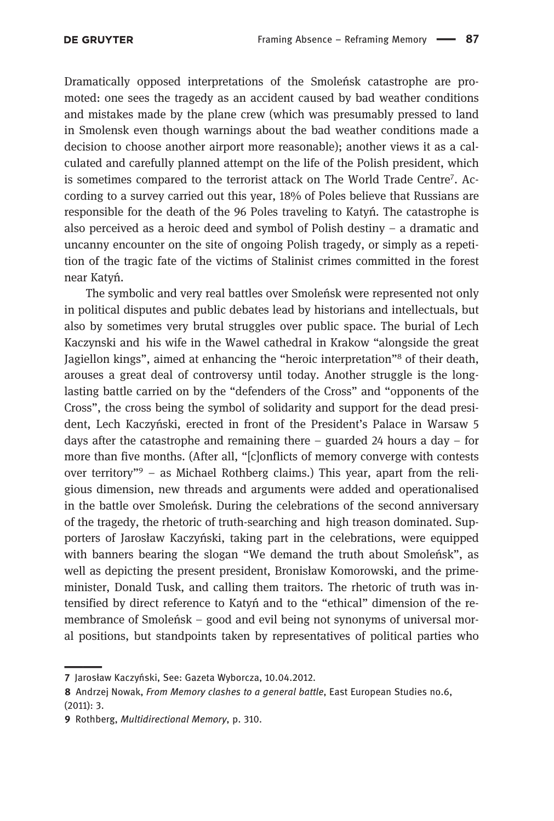Dramatically opposed interpretations of the Smoleńsk catastrophe are promoted: one sees the tragedy as an accident caused by bad weather conditions and mistakes made by the plane crew (which was presumably pressed to land in Smolensk even though warnings about the bad weather conditions made a decision to choose another airport more reasonable); another views it as a calculated and carefully planned attempt on the life of the Polish president, which is sometimes compared to the terrorist attack on The World Trade Centre<sup>7</sup>. According to a survey carried out this year, 18% of Poles believe that Russians are responsible for the death of the 96 Poles traveling to Katyń. The catastrophe is also perceived as a heroic deed and symbol of Polish destiny – a dramatic and uncanny encounter on the site of ongoing Polish tragedy, or simply as a repetition of the tragic fate of the victims of Stalinist crimes committed in the forest near Katyń.

The symbolic and very real battles over Smoleńsk were represented not only in political disputes and public debates lead by historians and intellectuals, but also by sometimes very brutal struggles over public space. The burial of Lech Kaczynski and his wife in the Wawel cathedral in Krakow "alongside the great Jagiellon kings", aimed at enhancing the "heroic interpretation"<sup>8</sup> of their death, arouses a great deal of controversy until today. Another struggle is the longlasting battle carried on by the "defenders of the Cross" and "opponents of the Cross", the cross being the symbol of solidarity and support for the dead president, Lech Kaczyński, erected in front of the President's Palace in Warsaw 5 days after the catastrophe and remaining there – guarded 24 hours a day – for more than five months. (After all, "[c]onflicts of memory converge with contests over territory"<sup>9</sup> – as Michael Rothberg claims.) This year, apart from the religious dimension, new threads and arguments were added and operationalised in the battle over Smoleńsk. During the celebrations of the second anniversary of the tragedy, the rhetoric of truth-searching and high treason dominated. Supporters of Jarosław Kaczyński, taking part in the celebrations, were equipped with banners bearing the slogan "We demand the truth about Smoleńsk", as well as depicting the present president, Bronisław Komorowski, and the primeminister, Donald Tusk, and calling them traitors. The rhetoric of truth was intensified by direct reference to Katy<sup>ń</sup> and to the "ethical" dimension of the remembrance of Smoleńsk – good and evil being not synonyms of universal moral positions, but standpoints taken by representatives of political parties who

<sup>7</sup> Jarosław Kaczyński, See: Gazeta Wyborcza, 10.04.2012.

<sup>8</sup> Andrzej Nowak, From Memory clashes to a general battle, East European Studies no.6, (2011): 3.

<sup>9</sup> Rothberg, Multidirectional Memory, p. 310.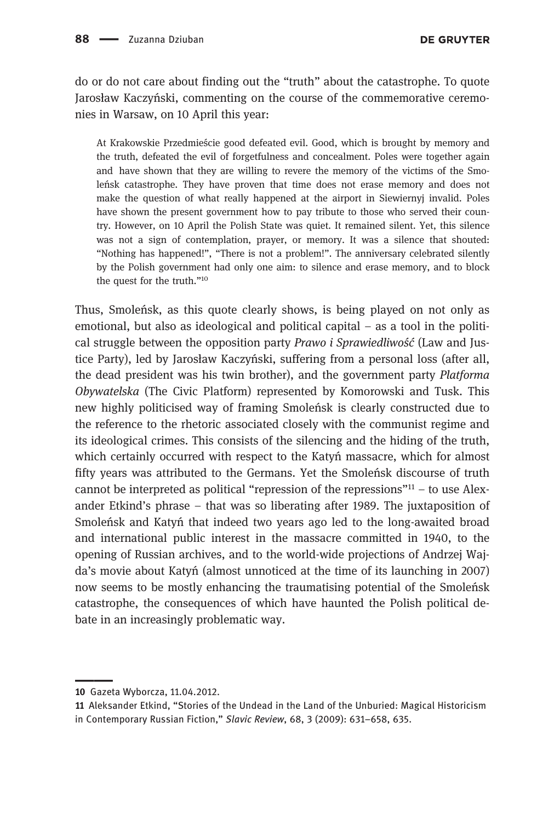do or do not care about finding out the "truth" about the catastrophe. To quote Jarosław Kaczyński, commenting on the course of the commemorative ceremonies in Warsaw, on 10 April this year:

At Krakowskie Przedmieście good defeated evil. Good, which is brought by memory and the truth, defeated the evil of forgetfulness and concealment. Poles were together again and have shown that they are willing to revere the memory of the victims of the Smoleńsk catastrophe. They have proven that time does not erase memory and does not make the question of what really happened at the airport in Siewiernyj invalid. Poles have shown the present government how to pay tribute to those who served their country. However, on 10 April the Polish State was quiet. It remained silent. Yet, this silence was not a sign of contemplation, prayer, or memory. It was a silence that shouted: "Nothing has happened!", "There is not a problem!". The anniversary celebrated silently by the Polish government had only one aim: to silence and erase memory, and to block the quest for the truth."<sup>10</sup>

Thus, Smoleńsk, as this quote clearly shows, is being played on not only as emotional, but also as ideological and political capital – as a tool in the political struggle between the opposition party Prawo i Sprawiedliwość (Law and Justice Party), led by Jarosław Kaczyński, suffering from a personal loss (after all, the dead president was his twin brother), and the government party Platforma Obywatelska (The Civic Platform) represented by Komorowski and Tusk. This new highly politicised way of framing Smoleńsk is clearly constructed due to the reference to the rhetoric associated closely with the communist regime and its ideological crimes. This consists of the silencing and the hiding of the truth, which certainly occurred with respect to the Katyń massacre, which for almost fifty years was attributed to the Germans. Yet the Smoleńsk discourse of truth cannot be interpreted as political "repression of the repressions"<sup>11</sup> – to use Alexander Etkind's phrase – that was so liberating after 1989. The juxtaposition of Smoleńsk and Katyń that indeed two years ago led to the long-awaited broad and international public interest in the massacre committed in 1940, to the opening of Russian archives, and to the world-wide projections of Andrzej Wajda's movie about Katy<sup>ń</sup> (almost unnoticed at the time of its launching in 2007) now seems to be mostly enhancing the traumatising potential of the Smoleńsk catastrophe, the consequences of which have haunted the Polish political debate in an increasingly problematic way.

<sup>10</sup> Gazeta Wyborcza, 11.04.2012.

<sup>11</sup> Aleksander Etkind, "Stories of the Undead in the Land of the Unburied: Magical Historicism in Contemporary Russian Fiction," Slavic Review, 68, 3 (2009): 631–658, 635.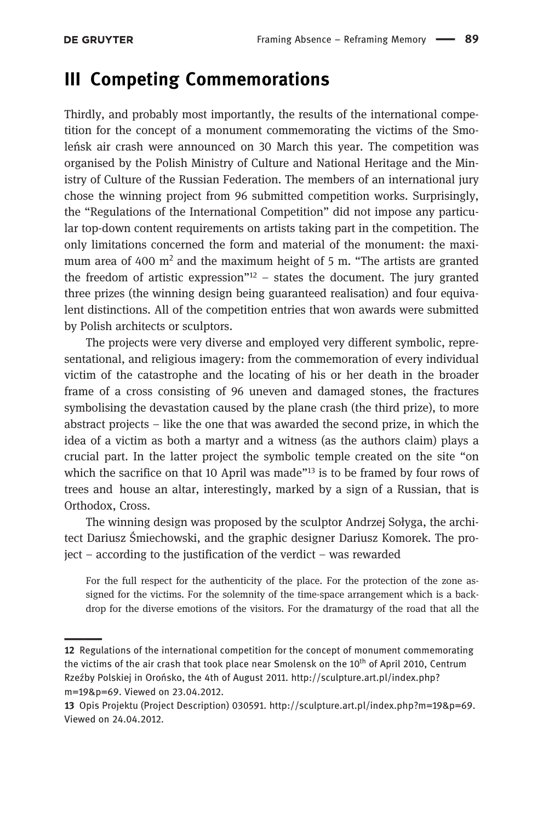### III Competing Commemorations

Thirdly, and probably most importantly, the results of the international competition for the concept of a monument commemorating the victims of the Smoleńsk air crash were announced on 30 March this year. The competition was organised by the Polish Ministry of Culture and National Heritage and the Ministry of Culture of the Russian Federation. The members of an international jury chose the winning project from 96 submitted competition works. Surprisingly, the "Regulations of the International Competition" did not impose any particular top-down content requirements on artists taking part in the competition. The only limitations concerned the form and material of the monument: the maximum area of 400  $m<sup>2</sup>$  and the maximum height of 5 m. "The artists are granted the freedom of artistic expression" $12 -$  states the document. The jury granted three prizes (the winning design being guaranteed realisation) and four equivalent distinctions. All of the competition entries that won awards were submitted by Polish architects or sculptors.

The projects were very diverse and employed very different symbolic, representational, and religious imagery: from the commemoration of every individual victim of the catastrophe and the locating of his or her death in the broader frame of a cross consisting of 96 uneven and damaged stones, the fractures symbolising the devastation caused by the plane crash (the third prize), to more abstract projects – like the one that was awarded the second prize, in which the idea of a victim as both a martyr and a witness (as the authors claim) plays a crucial part. In the latter project the symbolic temple created on the site "on which the sacrifice on that 10 April was made"<sup>13</sup> is to be framed by four rows of trees and house an altar, interestingly, marked by a sign of a Russian, that is Orthodox, Cross.

The winning design was proposed by the sculptor Andrzej Sołyga, the architect Dariusz Śmiechowski, and the graphic designer Dariusz Komorek. The project – according to the justification of the verdict – was rewarded

For the full respect for the authenticity of the place. For the protection of the zone assigned for the victims. For the solemnity of the time-space arrangement which is a backdrop for the diverse emotions of the visitors. For the dramaturgy of the road that all the

<sup>12</sup> Regulations of the international competition for the concept of monument commemorating the victims of the air crash that took place near Smolensk on the 10<sup>th</sup> of April 2010, Centrum Rzeźby Polskiej in Orońsko, the 4th of August 2011. http://sculpture.art.pl/index.php? m=19&p=69. Viewed on 23.04.2012.

<sup>13</sup> Opis Projektu (Project Description) 030591. http://sculpture.art.pl/index.php?m=19&p=69. Viewed on 24.04.2012.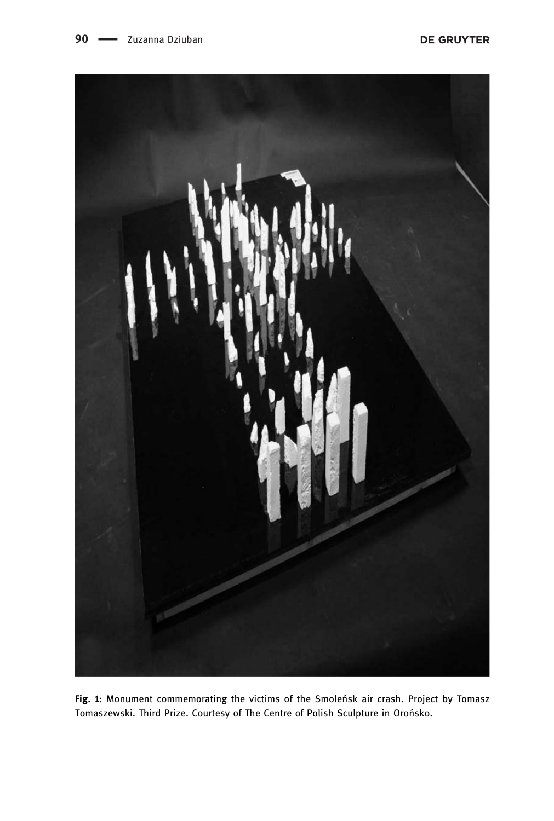

Fig. 1: Monument commemorating the victims of the Smoleńsk air crash. Project by Tomasz Tomaszewski. Third Prize. Courtesy of The Centre of Polish Sculpture in Orońsko.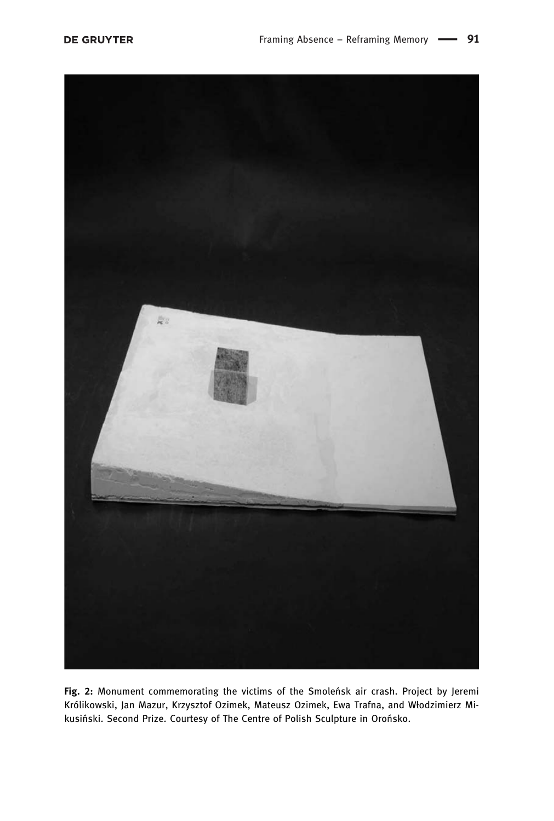

Fig. 2: Monument commemorating the victims of the Smoleńsk air crash. Project by Jeremi Królikowski, Jan Mazur, Krzysztof Ozimek, Mateusz Ozimek, Ewa Trafna, and Włodzimierz Mikusiński. Second Prize. Courtesy of The Centre of Polish Sculpture in Orońsko.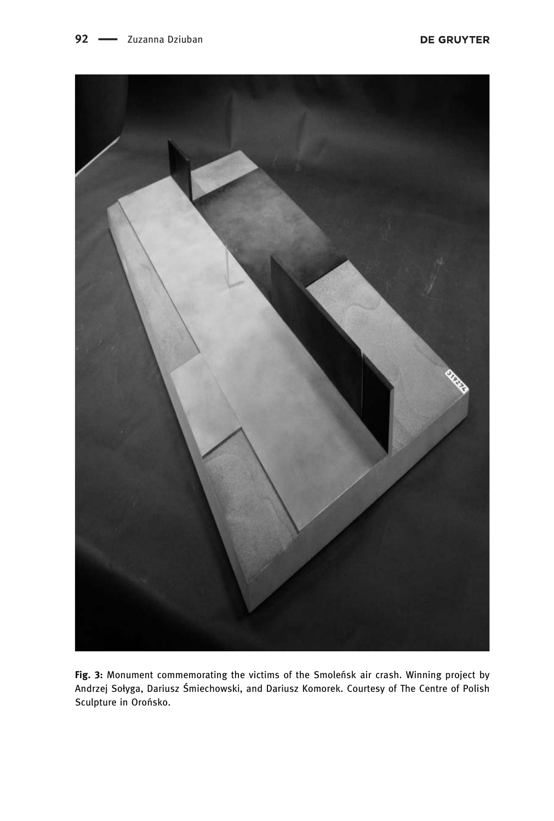

Fig. 3: Monument commemorating the victims of the Smoleńsk air crash. Winning project by Andrzej Sołyga, Dariusz Śmiechowski, and Dariusz Komorek. Courtesy of The Centre of Polish Sculpture in Orońsko.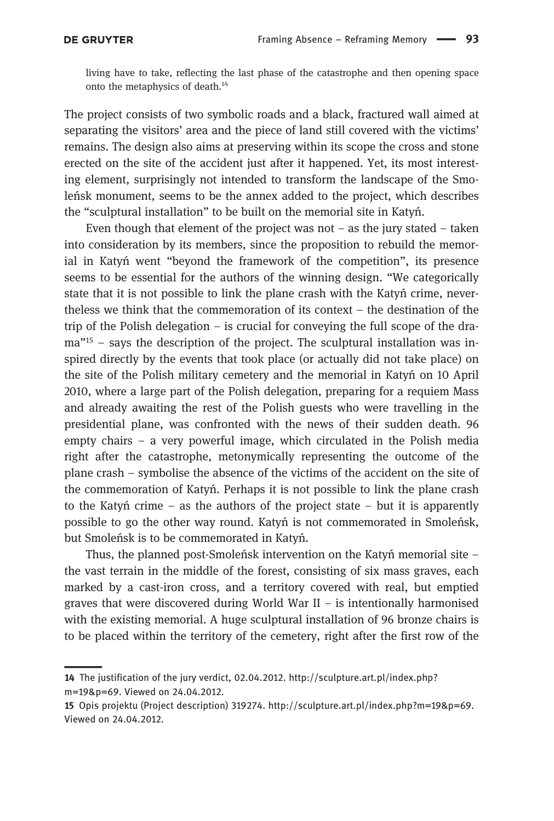living have to take, reflecting the last phase of the catastrophe and then opening space onto the metaphysics of death.14

The project consists of two symbolic roads and a black, fractured wall aimed at separating the visitors' area and the piece of land still covered with the victims' remains. The design also aims at preserving within its scope the cross and stone erected on the site of the accident just after it happened. Yet, its most interesting element, surprisingly not intended to transform the landscape of the Smoleńsk monument, seems to be the annex added to the project, which describes the "sculptural installation" to be built on the memorial site in Katyń.

Even though that element of the project was not  $-$  as the jury stated  $-$  taken into consideration by its members, since the proposition to rebuild the memorial in Katy<sup>ń</sup> went "beyond the framework of the competition", its presence seems to be essential for the authors of the winning design. "We categorically state that it is not possible to link the plane crash with the Katyń crime, nevertheless we think that the commemoration of its context – the destination of the trip of the Polish delegation – is crucial for conveying the full scope of the drama<sup>"15</sup> – says the description of the project. The sculptural installation was inspired directly by the events that took place (or actually did not take place) on the site of the Polish military cemetery and the memorial in Katyń on 10 April 2010, where a large part of the Polish delegation, preparing for a requiem Mass and already awaiting the rest of the Polish guests who were travelling in the presidential plane, was confronted with the news of their sudden death. 96 empty chairs – a very powerful image, which circulated in the Polish media right after the catastrophe, metonymically representing the outcome of the plane crash – symbolise the absence of the victims of the accident on the site of the commemoration of Katyń. Perhaps it is not possible to link the plane crash to the Katyn crime – as the authors of the project state – but it is apparently possible to go the other way round. Katyń is not commemorated in Smoleńsk, but Smoleńsk is to be commemorated in Katyń.

Thus, the planned post-Smoleńsk intervention on the Katy<sup>ń</sup> memorial site – the vast terrain in the middle of the forest, consisting of six mass graves, each marked by a cast-iron cross, and a territory covered with real, but emptied graves that were discovered during World War II  $-$  is intentionally harmonised with the existing memorial. A huge sculptural installation of 96 bronze chairs is to be placed within the territory of the cemetery, right after the first row of the

<sup>14</sup> The justification of the jury verdict, 02.04.2012. http://sculpture.art.pl/index.php? m=19&p=69. Viewed on 24.04.2012.

<sup>15</sup> Opis projektu (Project description) 319274. http://sculpture.art.pl/index.php?m=19&p=69. Viewed on 24.04.2012.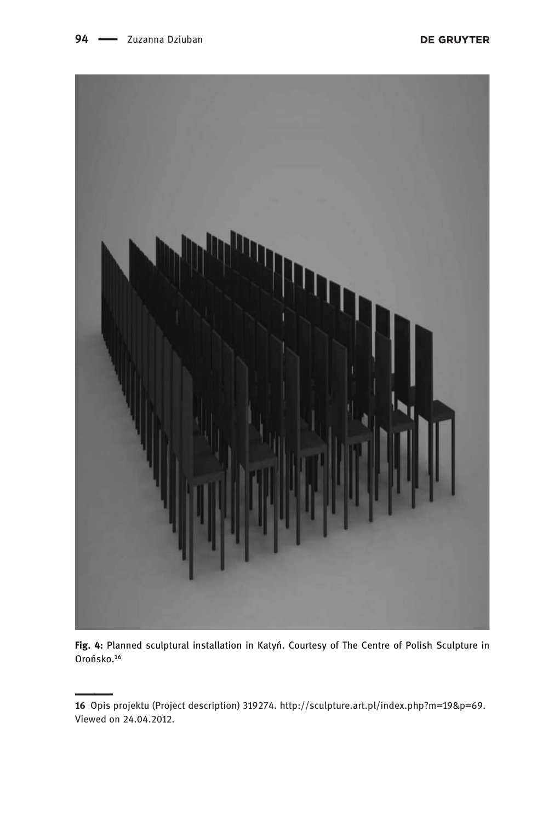

Fig. 4: Planned sculptural installation in Katyń. Courtesy of The Centre of Polish Sculpture in Orońsko.16

<sup>16</sup> Opis projektu (Project description) 319274. http://sculpture.art.pl/index.php?m=19&p=69. Viewed on 24.04.2012.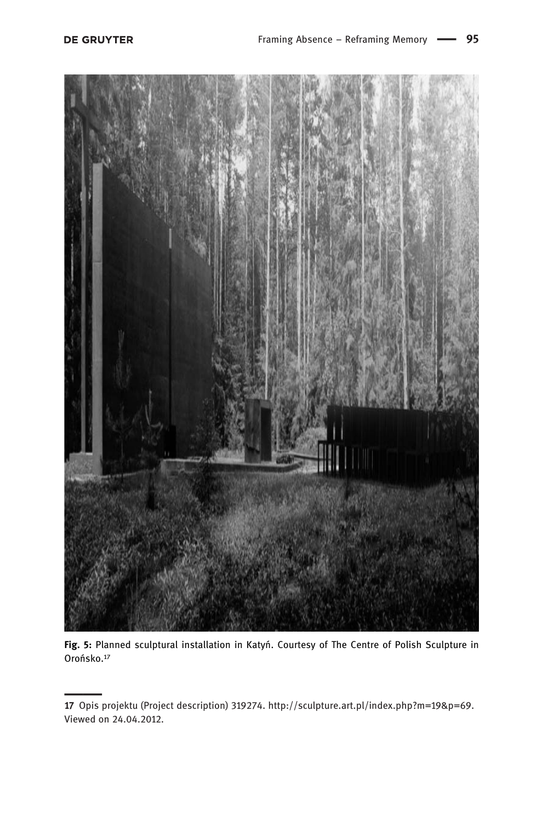

Fig. 5: Planned sculptural installation in Katyń. Courtesy of The Centre of Polish Sculpture in Orońsko.17

<sup>17</sup> Opis projektu (Project description) 319274. http://sculpture.art.pl/index.php?m=19&p=69. Viewed on 24.04.2012.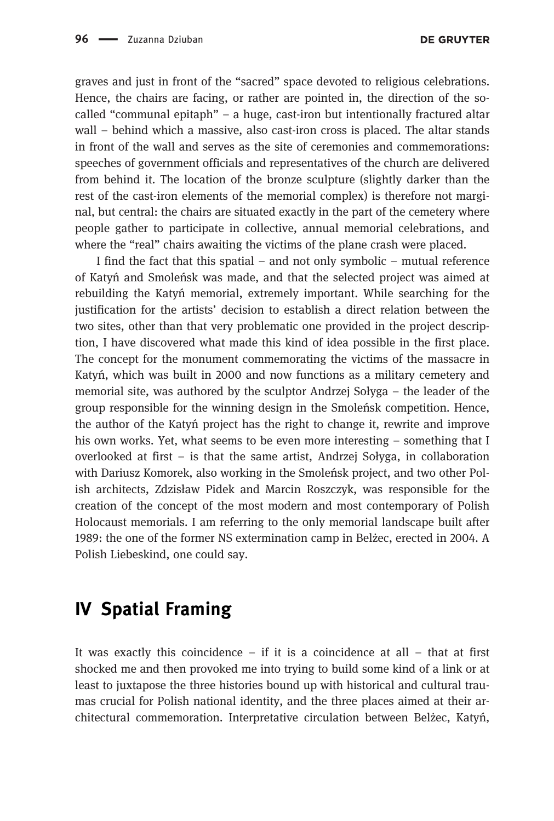graves and just in front of the "sacred" space devoted to religious celebrations. Hence, the chairs are facing, or rather are pointed in, the direction of the socalled "communal epitaph" – a huge, cast-iron but intentionally fractured altar wall – behind which a massive, also cast-iron cross is placed. The altar stands in front of the wall and serves as the site of ceremonies and commemorations: speeches of government officials and representatives of the church are delivered from behind it. The location of the bronze sculpture (slightly darker than the rest of the cast-iron elements of the memorial complex) is therefore not marginal, but central: the chairs are situated exactly in the part of the cemetery where people gather to participate in collective, annual memorial celebrations, and where the "real" chairs awaiting the victims of the plane crash were placed.

I find the fact that this spatial – and not only symbolic – mutual reference of Katyń and Smoleńsk was made, and that the selected project was aimed at rebuilding the Katyń memorial, extremely important. While searching for the justification for the artists' decision to establish a direct relation between the two sites, other than that very problematic one provided in the project description, I have discovered what made this kind of idea possible in the first place. The concept for the monument commemorating the victims of the massacre in Katyń, which was built in 2000 and now functions as a military cemetery and memorial site, was authored by the sculptor Andrzej Sołyga – the leader of the group responsible for the winning design in the Smoleńsk competition. Hence, the author of the Katyń project has the right to change it, rewrite and improve his own works. Yet, what seems to be even more interesting – something that I overlooked at first – is that the same artist, Andrzej Sołyga, in collaboration with Dariusz Komorek, also working in the Smoleńsk project, and two other Polish architects, Zdzisław Pidek and Marcin Roszczyk, was responsible for the creation of the concept of the most modern and most contemporary of Polish Holocaust memorials. I am referring to the only memorial landscape built after 1989: the one of the former NS extermination camp in Belżec, erected in 2004. A Polish Liebeskind, one could say.

## IV Spatial Framing

It was exactly this coincidence – if it is a coincidence at all – that at first shocked me and then provoked me into trying to build some kind of a link or at least to juxtapose the three histories bound up with historical and cultural traumas crucial for Polish national identity, and the three places aimed at their architectural commemoration. Interpretative circulation between Belżec, Katyń,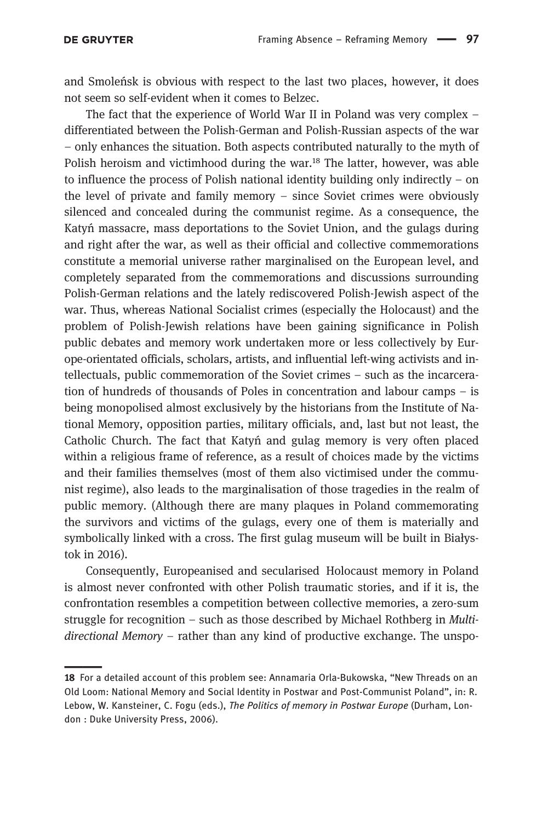and Smoleńsk is obvious with respect to the last two places, however, it does not seem so self-evident when it comes to Belzec.

The fact that the experience of World War II in Poland was very complex – differentiated between the Polish-German and Polish-Russian aspects of the war – only enhances the situation. Both aspects contributed naturally to the myth of Polish heroism and victimhood during the war.<sup>18</sup> The latter, however, was able to influence the process of Polish national identity building only indirectly – on the level of private and family memory – since Soviet crimes were obviously silenced and concealed during the communist regime. As a consequence, the Katyń massacre, mass deportations to the Soviet Union, and the gulags during and right after the war, as well as their official and collective commemorations constitute a memorial universe rather marginalised on the European level, and completely separated from the commemorations and discussions surrounding Polish-German relations and the lately rediscovered Polish-Jewish aspect of the war. Thus, whereas National Socialist crimes (especially the Holocaust) and the problem of Polish-Jewish relations have been gaining significance in Polish public debates and memory work undertaken more or less collectively by Europe-orientated officials, scholars, artists, and influential left-wing activists and intellectuals, public commemoration of the Soviet crimes – such as the incarceration of hundreds of thousands of Poles in concentration and labour camps – is being monopolised almost exclusively by the historians from the Institute of National Memory, opposition parties, military officials, and, last but not least, the Catholic Church. The fact that Katyń and gulag memory is very often placed within a religious frame of reference, as a result of choices made by the victims and their families themselves (most of them also victimised under the communist regime), also leads to the marginalisation of those tragedies in the realm of public memory. (Although there are many plaques in Poland commemorating the survivors and victims of the gulags, every one of them is materially and symbolically linked with a cross. The first gulag museum will be built in Białystok in 2016).

Consequently, Europeanised and secularised Holocaust memory in Poland is almost never confronted with other Polish traumatic stories, and if it is, the confrontation resembles a competition between collective memories, a zero-sum struggle for recognition – such as those described by Michael Rothberg in *Multi*directional Memory – rather than any kind of productive exchange. The unspo-

<sup>18</sup> For a detailed account of this problem see: Annamaria Orla-Bukowska, "New Threads on an Old Loom: National Memory and Social Identity in Postwar and Post-Communist Poland", in: R. Lebow, W. Kansteiner, C. Fogu (eds.), The Politics of memory in Postwar Europe (Durham, London : Duke University Press, 2006).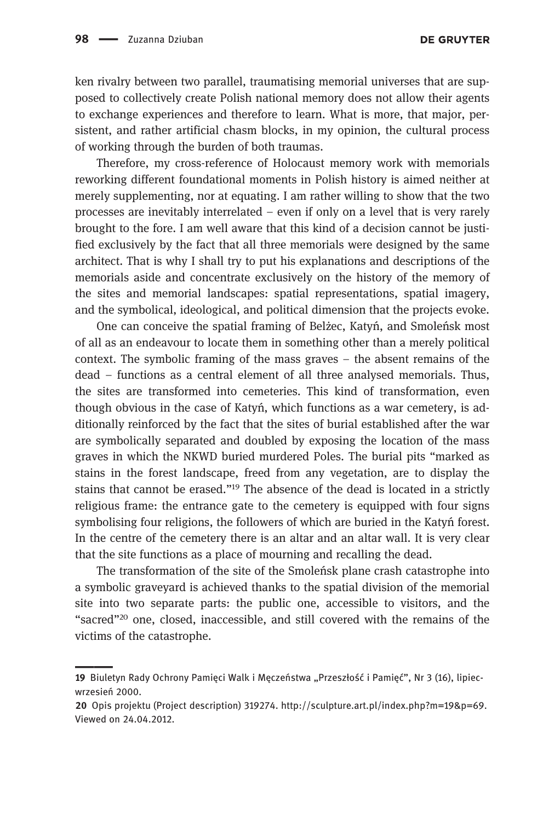**DE GRUYTER** 

ken rivalry between two parallel, traumatising memorial universes that are supposed to collectively create Polish national memory does not allow their agents to exchange experiences and therefore to learn. What is more, that major, persistent, and rather artificial chasm blocks, in my opinion, the cultural process of working through the burden of both traumas.

Therefore, my cross-reference of Holocaust memory work with memorials reworking different foundational moments in Polish history is aimed neither at merely supplementing, nor at equating. I am rather willing to show that the two processes are inevitably interrelated – even if only on a level that is very rarely brought to the fore. I am well aware that this kind of a decision cannot be justified exclusively by the fact that all three memorials were designed by the same architect. That is why I shall try to put his explanations and descriptions of the memorials aside and concentrate exclusively on the history of the memory of the sites and memorial landscapes: spatial representations, spatial imagery, and the symbolical, ideological, and political dimension that the projects evoke.

One can conceive the spatial framing of Belżec, Katyń, and Smoleńsk most of all as an endeavour to locate them in something other than a merely political context. The symbolic framing of the mass graves – the absent remains of the dead – functions as a central element of all three analysed memorials. Thus, the sites are transformed into cemeteries. This kind of transformation, even though obvious in the case of Katyń, which functions as a war cemetery, is additionally reinforced by the fact that the sites of burial established after the war are symbolically separated and doubled by exposing the location of the mass graves in which the NKWD buried murdered Poles. The burial pits "marked as stains in the forest landscape, freed from any vegetation, are to display the stains that cannot be erased."<sup>19</sup> The absence of the dead is located in a strictly religious frame: the entrance gate to the cemetery is equipped with four signs symbolising four religions, the followers of which are buried in the Katyń forest. In the centre of the cemetery there is an altar and an altar wall. It is very clear that the site functions as a place of mourning and recalling the dead.

The transformation of the site of the Smoleńsk plane crash catastrophe into a symbolic graveyard is achieved thanks to the spatial division of the memorial site into two separate parts: the public one, accessible to visitors, and the "sacred"<sup>20</sup> one, closed, inaccessible, and still covered with the remains of the victims of the catastrophe.

<sup>19</sup> Biuletyn Rady Ochrony Pamięci Walk i Męczeństwa "Przeszłość i Pamięć", Nr 3 (16), lipiecwrzesień 2000.

<sup>20</sup> Opis projektu (Project description) 319274. http://sculpture.art.pl/index.php?m=19&p=69. Viewed on 24.04.2012.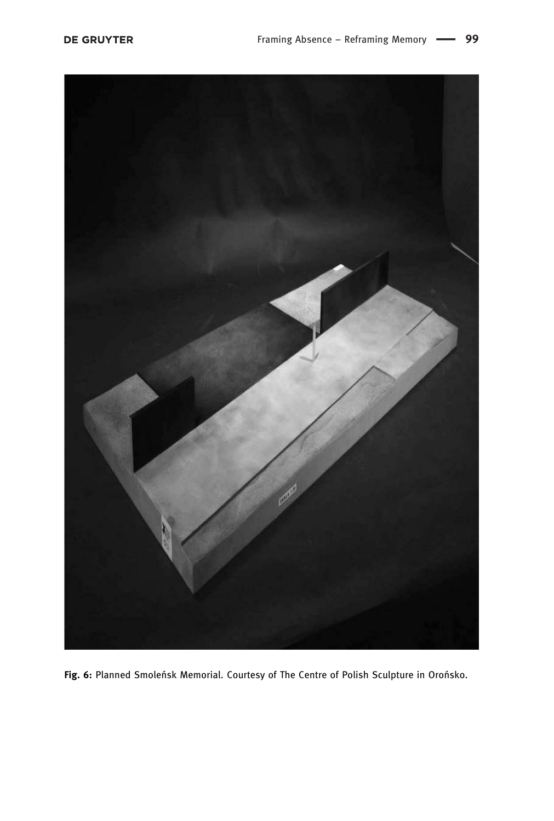

Fig. 6: Planned Smoleńsk Memorial. Courtesy of The Centre of Polish Sculpture in Orońsko.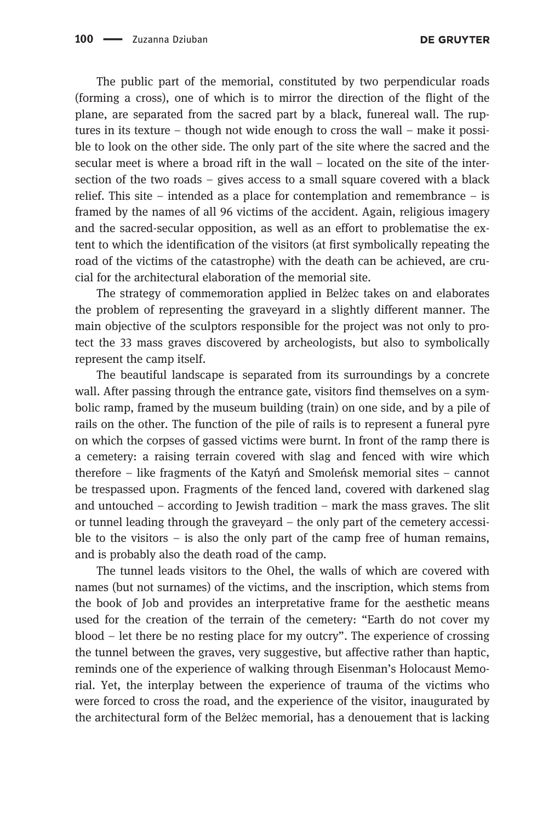The public part of the memorial, constituted by two perpendicular roads (forming a cross), one of which is to mirror the direction of the flight of the plane, are separated from the sacred part by a black, funereal wall. The ruptures in its texture – though not wide enough to cross the wall – make it possible to look on the other side. The only part of the site where the sacred and the secular meet is where a broad rift in the wall – located on the site of the intersection of the two roads – gives access to a small square covered with a black relief. This site – intended as a place for contemplation and remembrance – is framed by the names of all 96 victims of the accident. Again, religious imagery and the sacred-secular opposition, as well as an effort to problematise the extent to which the identification of the visitors (at first symbolically repeating the road of the victims of the catastrophe) with the death can be achieved, are crucial for the architectural elaboration of the memorial site.

The strategy of commemoration applied in Belżec takes on and elaborates the problem of representing the graveyard in a slightly different manner. The main objective of the sculptors responsible for the project was not only to protect the 33 mass graves discovered by archeologists, but also to symbolically represent the camp itself.

The beautiful landscape is separated from its surroundings by a concrete wall. After passing through the entrance gate, visitors find themselves on a symbolic ramp, framed by the museum building (train) on one side, and by a pile of rails on the other. The function of the pile of rails is to represent a funeral pyre on which the corpses of gassed victims were burnt. In front of the ramp there is a cemetery: a raising terrain covered with slag and fenced with wire which therefore – like fragments of the Katy<sup>ń</sup> and Smoleńsk memorial sites – cannot be trespassed upon. Fragments of the fenced land, covered with darkened slag and untouched – according to Jewish tradition – mark the mass graves. The slit or tunnel leading through the graveyard – the only part of the cemetery accessible to the visitors – is also the only part of the camp free of human remains, and is probably also the death road of the camp.

The tunnel leads visitors to the Ohel, the walls of which are covered with names (but not surnames) of the victims, and the inscription, which stems from the book of Job and provides an interpretative frame for the aesthetic means used for the creation of the terrain of the cemetery: "Earth do not cover my blood – let there be no resting place for my outcry". The experience of crossing the tunnel between the graves, very suggestive, but affective rather than haptic, reminds one of the experience of walking through Eisenman's Holocaust Memorial. Yet, the interplay between the experience of trauma of the victims who were forced to cross the road, and the experience of the visitor, inaugurated by the architectural form of the Belżec memorial, has a denouement that is lacking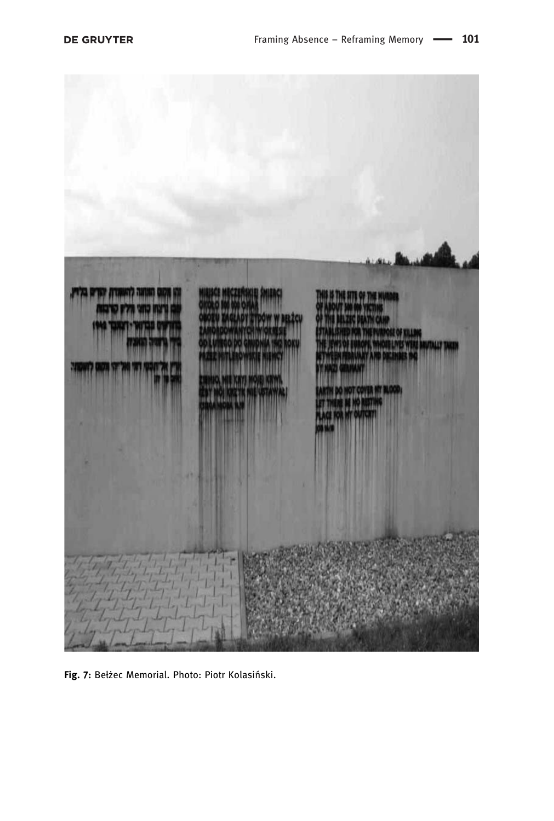

Fig. 7: Bełżec Memorial. Photo: Piotr Kolasiński.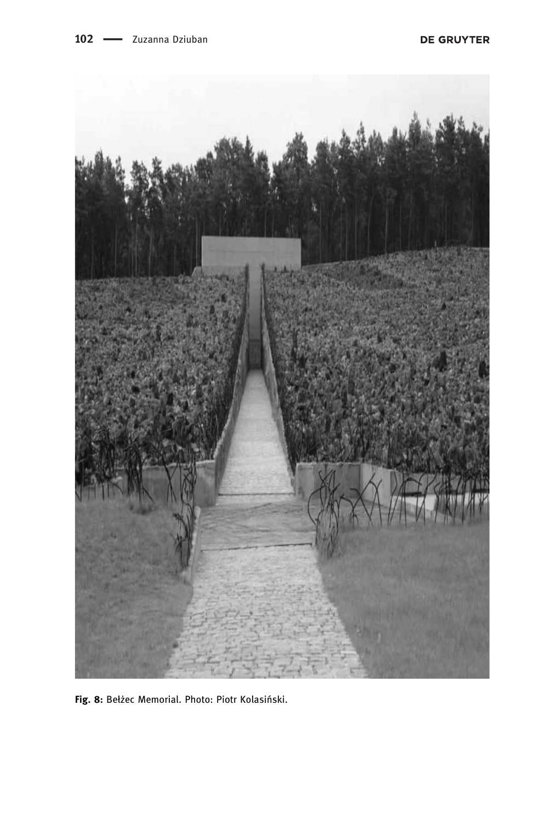

Fig. 8: Bełżec Memorial. Photo: Piotr Kolasiński.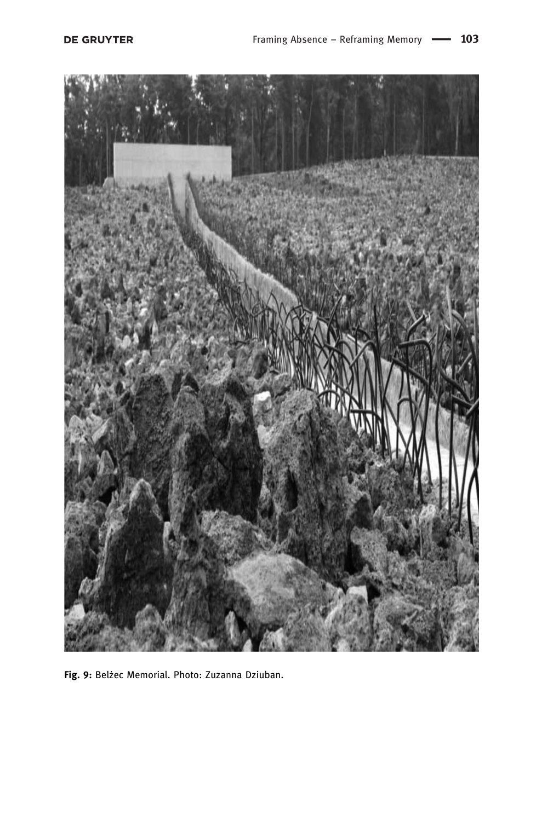

Fig. 9: Belżec Memorial. Photo: Zuzanna Dziuban.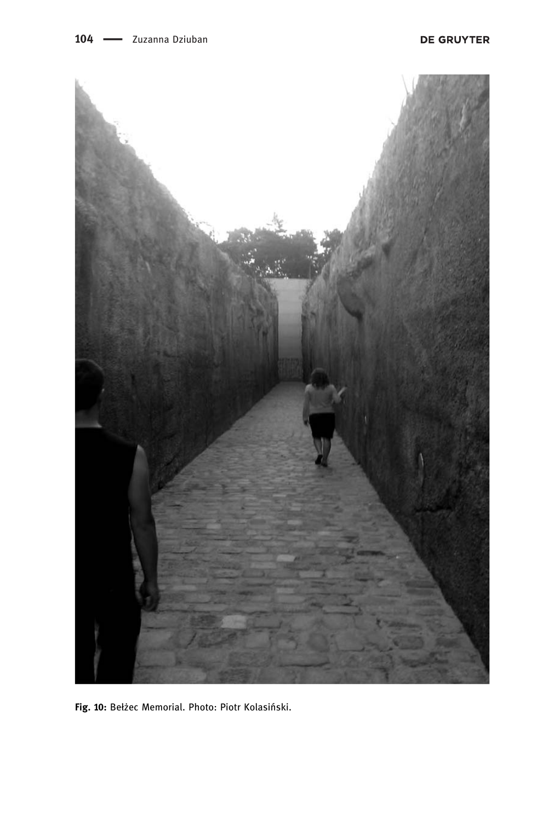

Fig. 10: Bełżec Memorial. Photo: Piotr Kolasiński.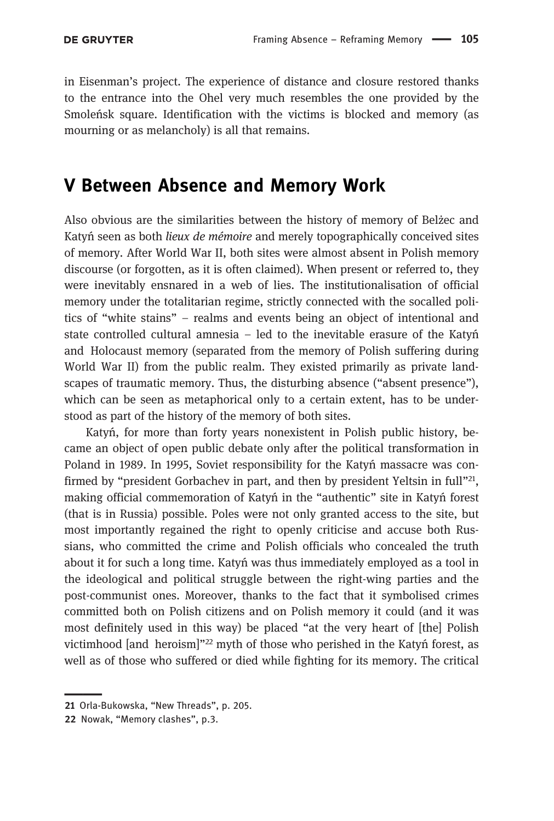in Eisenman's project. The experience of distance and closure restored thanks to the entrance into the Ohel very much resembles the one provided by the Smoleńsk square. Identification with the victims is blocked and memory (as mourning or as melancholy) is all that remains.

### V Between Absence and Memory Work

Also obvious are the similarities between the history of memory of Belżec and Katyń seen as both *lieux de mémoire* and merely topographically conceived sites of memory. After World War II, both sites were almost absent in Polish memory discourse (or forgotten, as it is often claimed). When present or referred to, they were inevitably ensnared in a web of lies. The institutionalisation of official memory under the totalitarian regime, strictly connected with the socalled politics of "white stains" – realms and events being an object of intentional and state controlled cultural amnesia – led to the inevitable erasure of the Katy<sup>ń</sup> and Holocaust memory (separated from the memory of Polish suffering during World War II) from the public realm. They existed primarily as private landscapes of traumatic memory. Thus, the disturbing absence ("absent presence"), which can be seen as metaphorical only to a certain extent, has to be understood as part of the history of the memory of both sites.

Katyń, for more than forty years nonexistent in Polish public history, became an object of open public debate only after the political transformation in Poland in 1989. In 1995, Soviet responsibility for the Katyń massacre was confirmed by "president Gorbachev in part, and then by president Yeltsin in full"<sup>21</sup>, making official commemoration of Katy<sup>ń</sup> in the "authentic" site in Katy<sup>ń</sup> forest (that is in Russia) possible. Poles were not only granted access to the site, but most importantly regained the right to openly criticise and accuse both Russians, who committed the crime and Polish officials who concealed the truth about it for such a long time. Katyń was thus immediately employed as a tool in the ideological and political struggle between the right-wing parties and the post-communist ones. Moreover, thanks to the fact that it symbolised crimes committed both on Polish citizens and on Polish memory it could (and it was most definitely used in this way) be placed "at the very heart of [the] Polish victimhood [and heroism]"<sup>22</sup> myth of those who perished in the Katy<sup>ń</sup> forest, as well as of those who suffered or died while fighting for its memory. The critical

<sup>21</sup> Orla-Bukowska, "New Threads", p. 205.

<sup>22</sup> Nowak, "Memory clashes", p.3.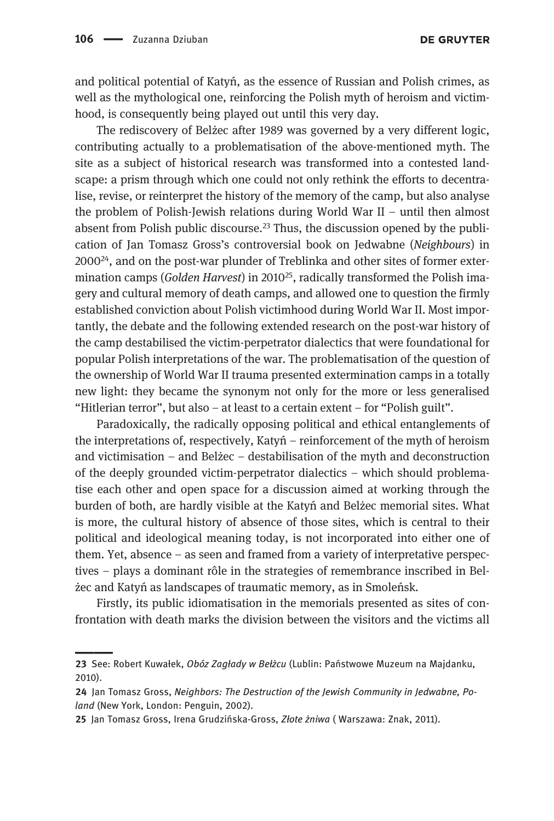**DE GRUYTER** 

and political potential of Katyń, as the essence of Russian and Polish crimes, as well as the mythological one, reinforcing the Polish myth of heroism and victimhood, is consequently being played out until this very day.

The rediscovery of Belżec after 1989 was governed by a very different logic, contributing actually to a problematisation of the above-mentioned myth. The site as a subject of historical research was transformed into a contested landscape: a prism through which one could not only rethink the efforts to decentralise, revise, or reinterpret the history of the memory of the camp, but also analyse the problem of Polish-Jewish relations during World War II – until then almost absent from Polish public discourse.<sup>23</sup> Thus, the discussion opened by the publication of Jan Tomasz Gross's controversial book on Jedwabne (Neighbours) in  $2000^{24}$ , and on the post-war plunder of Treblinka and other sites of former extermination camps (Golden Harvest) in 2010<sup>25</sup>, radically transformed the Polish imagery and cultural memory of death camps, and allowed one to question the firmly established conviction about Polish victimhood during World War II. Most importantly, the debate and the following extended research on the post-war history of the camp destabilised the victim-perpetrator dialectics that were foundational for popular Polish interpretations of the war. The problematisation of the question of the ownership of World War II trauma presented extermination camps in a totally new light: they became the synonym not only for the more or less generalised "Hitlerian terror", but also – at least to a certain extent – for "Polish guilt".

Paradoxically, the radically opposing political and ethical entanglements of the interpretations of, respectively, Katy<sup>ń</sup> – reinforcement of the myth of heroism and victimisation – and Belżec – destabilisation of the myth and deconstruction of the deeply grounded victim-perpetrator dialectics – which should problematise each other and open space for a discussion aimed at working through the burden of both, are hardly visible at the Katyń and Belżec memorial sites. What is more, the cultural history of absence of those sites, which is central to their political and ideological meaning today, is not incorporated into either one of them. Yet, absence – as seen and framed from a variety of interpretative perspectives – plays a dominant rôle in the strategies of remembrance inscribed in Belżec and Katyń as landscapes of traumatic memory, as in Smoleńsk.

Firstly, its public idiomatisation in the memorials presented as sites of confrontation with death marks the division between the visitors and the victims all

<sup>23</sup> See: Robert Kuwałek, Obóz Zagłady w Bełżcu (Lublin: Państwowe Muzeum na Majdanku, 2010).

<sup>24</sup> Jan Tomasz Gross, Neighbors: The Destruction of the Jewish Community in Jedwabne, Poland (New York, London: Penguin, 2002).

<sup>25</sup> Jan Tomasz Gross, Irena Grudzińska-Gross, Złote żniwa ( Warszawa: Znak, 2011).